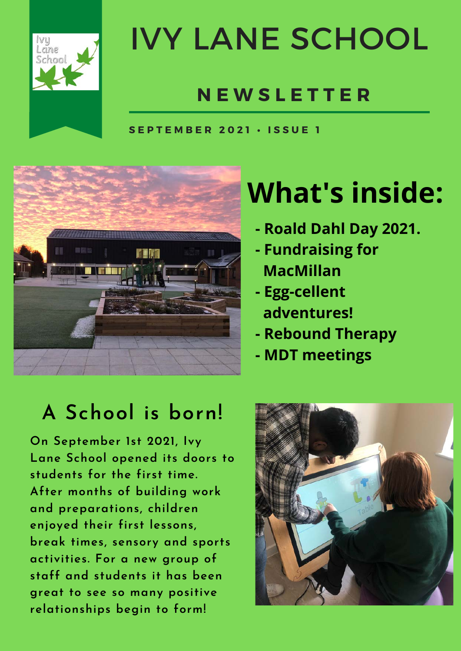

### IVY LANE SCHOOL

#### **N E W S L E T T E R**

**S E P T E M B E R 2 0 2 1 • I S S U E 1**



#### **What's inside:**

- **Roald Dahl Day 2021.**
- **Fundraising for MacMillan**
- **Egg-cellent adventures!**
- **Rebound Therapy**
- **MDT meetings**

#### **A School is born!**

**On September 1st 2021, Ivy Lane School opened its doors to students for the first time. After months of building work and preparations, children enjoyed their first lessons, break times, sensory and sports activities. For a new group of staff and students it has been great to see so many positive relationships begin to form!**

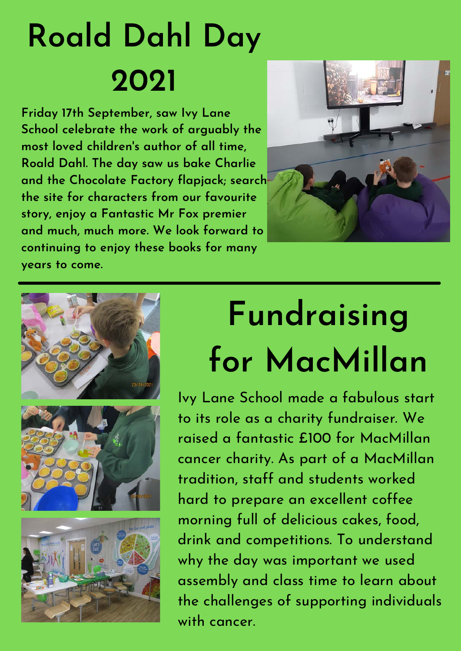## **Roald Dahl Day 2021**

**Friday 17th September, saw Ivy Lane School celebrate the work of arguably the most loved children's author of all time, Roald Dahl. The day saw us bake Charlie and the Chocolate Factory flapjack; search the site for characters from our favourite story, enjoy a Fantastic Mr Fox premier and much, much more. We look forward to continuing to enjoy these books for many years to come.**









## **Fundraising for MacMillan**

Ivy Lane School made a fabulous start to its role as a charity fundraiser. We raised a fantastic £100 for MacMillan cancer charity. As part of a MacMillan tradition, staff and students worked hard to prepare an excellent coffee morning full of delicious cakes, food, drink and competitions. To understand why the day was important we used assembly and class time to learn about the challenges of supporting individuals with cancer.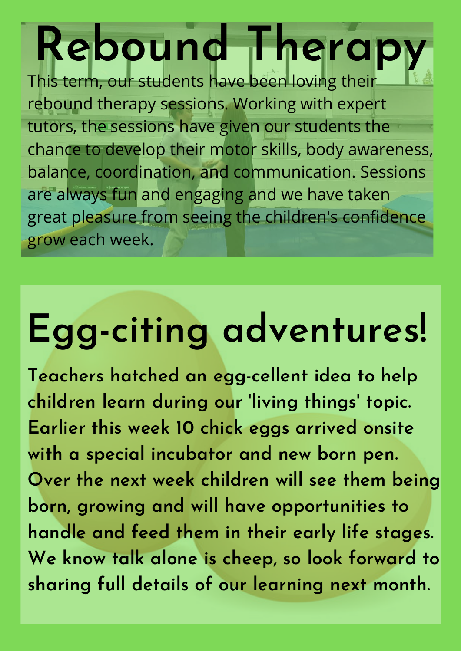# **Rebound Therapy**

This term, our students have been loving their rebound therapy sessions. Working with expert tutors, the sessions have given our students the chance to develop their motor skills, body awareness, balance, coordination, and communication. Sessions are always fun and engaging and we have taken great pleasure from seeing the children's confidence grow each week.

# **Egg-citing adventures!**

**Teachers hatched an egg-cellent idea to help children learn during our 'living things' topic. Earlier this week 10 chick eggs arrived onsite with a special incubator and new born pen. Over the next week children will see them being born, growing and will have opportunities to handle and feed them in their early life stages. We know talk alone is cheep, so look forward to sharing full details of our learning next month.**